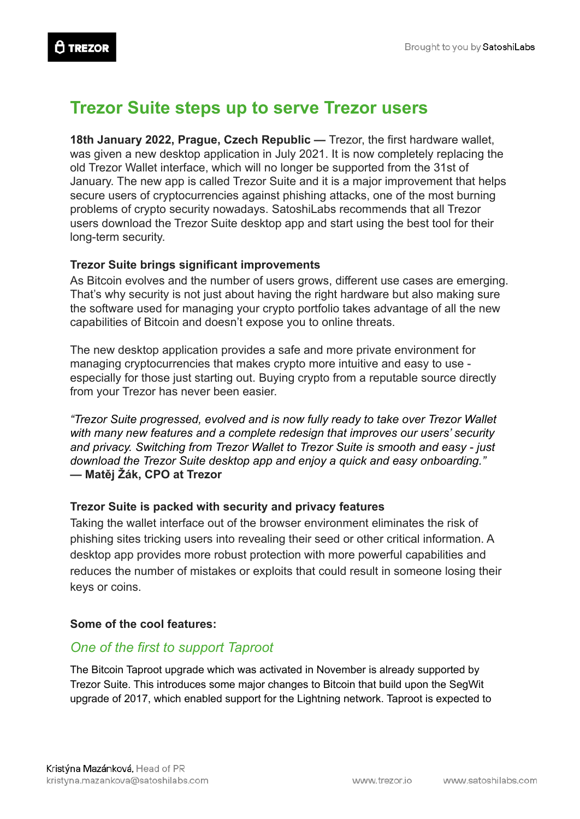# **Trezor Suite steps up to serve Trezor users**

**18th January 2022, Prague, Czech Republic —** Trezor, the first hardware wallet, was given a new desktop application in July 2021. It is now completely replacing the old Trezor Wallet interface, which will no longer be supported from the 31st of January. The new app is called Trezor Suite and it is a major improvement that helps secure users of cryptocurrencies against phishing attacks, one of the most burning problems of crypto security nowadays. SatoshiLabs recommends that all Trezor users download the Trezor Suite desktop app and start using the best tool for their long-term security.

### **Trezor Suite brings significant improvements**

As Bitcoin evolves and the number of users grows, different use cases are emerging. That's why security is not just about having the right hardware but also making sure the software used for managing your crypto portfolio takes advantage of all the new capabilities of Bitcoin and doesn't expose you to online threats.

The new desktop application provides a safe and more private environment for managing cryptocurrencies that makes crypto more intuitive and easy to use especially for those just starting out. Buying crypto from a reputable source directly from your Trezor has never been easier.

*"Trezor Suite progressed, evolved and is now fully ready to take over Trezor Wallet with many new features and a complete redesign that improves our users' security and privacy. Switching from Trezor Wallet to Trezor Suite is smooth and easy - just download the Trezor Suite desktop app and enjoy a quick and easy onboarding."* **— Matěj Žák, CPO at Trezor**

### **Trezor Suite is packed with security and privacy features**

Taking the wallet interface out of the browser environment eliminates the risk of phishing sites tricking users into revealing their seed or other critical information. A desktop app provides more robust protection with more powerful capabilities and reduces the number of mistakes or exploits that could result in someone losing their keys or coins.

### **Some of the cool features:**

### *One of the first to support Taproot*

The Bitcoin Taproot upgrade which was activated in November is already supported by Trezor Suite. This introduces some major changes to Bitcoin that build upon the SegWit upgrade of 2017, which enabled support for the Lightning network. Taproot is expected to